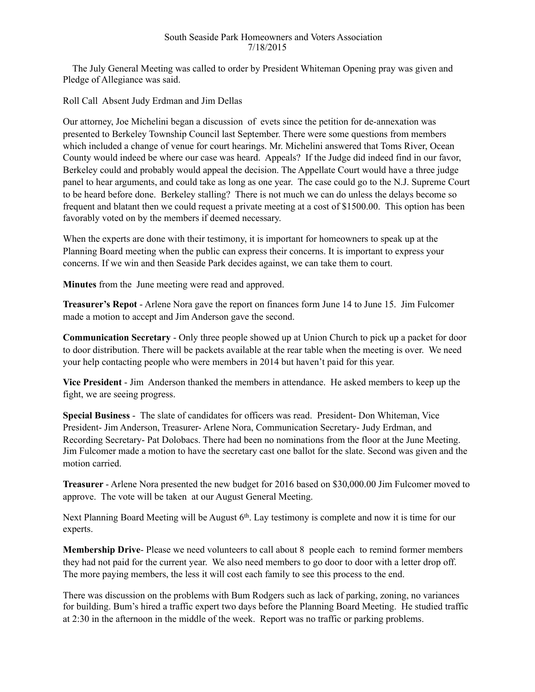## South Seaside Park Homeowners and Voters Association 7/18/2015

 The July General Meeting was called to order by President Whiteman Opening pray was given and Pledge of Allegiance was said.

Roll Call Absent Judy Erdman and Jim Dellas

Our attorney, Joe Michelini began a discussion of evets since the petition for de-annexation was presented to Berkeley Township Council last September. There were some questions from members which included a change of venue for court hearings. Mr. Michelini answered that Toms River, Ocean County would indeed be where our case was heard. Appeals? If the Judge did indeed find in our favor, Berkeley could and probably would appeal the decision. The Appellate Court would have a three judge panel to hear arguments, and could take as long as one year. The case could go to the N.J. Supreme Court to be heard before done. Berkeley stalling? There is not much we can do unless the delays become so frequent and blatant then we could request a private meeting at a cost of \$1500.00. This option has been favorably voted on by the members if deemed necessary.

When the experts are done with their testimony, it is important for homeowners to speak up at the Planning Board meeting when the public can express their concerns. It is important to express your concerns. If we win and then Seaside Park decides against, we can take them to court.

**Minutes** from the June meeting were read and approved.

**Treasurer's Repot** - Arlene Nora gave the report on finances form June 14 to June 15. Jim Fulcomer made a motion to accept and Jim Anderson gave the second.

**Communication Secretary** - Only three people showed up at Union Church to pick up a packet for door to door distribution. There will be packets available at the rear table when the meeting is over. We need your help contacting people who were members in 2014 but haven't paid for this year.

**Vice President** - Jim Anderson thanked the members in attendance. He asked members to keep up the fight, we are seeing progress.

**Special Business** - The slate of candidates for officers was read. President- Don Whiteman, Vice President- Jim Anderson, Treasurer- Arlene Nora, Communication Secretary- Judy Erdman, and Recording Secretary- Pat Dolobacs. There had been no nominations from the floor at the June Meeting. Jim Fulcomer made a motion to have the secretary cast one ballot for the slate. Second was given and the motion carried.

**Treasurer** - Arlene Nora presented the new budget for 2016 based on \$30,000.00 Jim Fulcomer moved to approve. The vote will be taken at our August General Meeting.

Next Planning Board Meeting will be August 6<sup>th</sup>. Lay testimony is complete and now it is time for our experts.

**Membership Drive**- Please we need volunteers to call about 8 people each to remind former members they had not paid for the current year. We also need members to go door to door with a letter drop off. The more paying members, the less it will cost each family to see this process to the end.

There was discussion on the problems with Bum Rodgers such as lack of parking, zoning, no variances for building. Bum's hired a traffic expert two days before the Planning Board Meeting. He studied traffic at 2:30 in the afternoon in the middle of the week. Report was no traffic or parking problems.